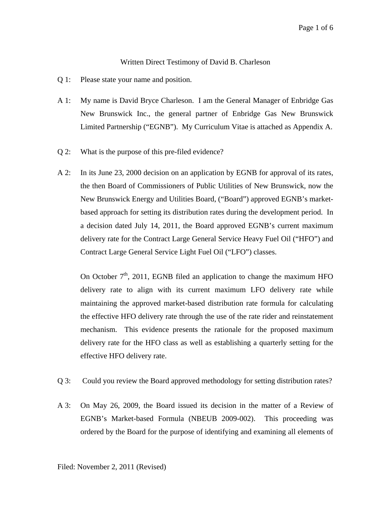## Written Direct Testimony of David B. Charleson

- Q 1: Please state your name and position.
- A 1: My name is David Bryce Charleson. I am the General Manager of Enbridge Gas New Brunswick Inc., the general partner of Enbridge Gas New Brunswick Limited Partnership ("EGNB"). My Curriculum Vitae is attached as Appendix A.
- Q 2: What is the purpose of this pre-filed evidence?
- A 2: In its June 23, 2000 decision on an application by EGNB for approval of its rates, the then Board of Commissioners of Public Utilities of New Brunswick, now the New Brunswick Energy and Utilities Board, ("Board") approved EGNB's marketbased approach for setting its distribution rates during the development period. In a decision dated July 14, 2011, the Board approved EGNB's current maximum delivery rate for the Contract Large General Service Heavy Fuel Oil ("HFO") and Contract Large General Service Light Fuel Oil ("LFO") classes.

On October  $7<sup>th</sup>$ , 2011, EGNB filed an application to change the maximum HFO delivery rate to align with its current maximum LFO delivery rate while maintaining the approved market-based distribution rate formula for calculating the effective HFO delivery rate through the use of the rate rider and reinstatement mechanism. This evidence presents the rationale for the proposed maximum delivery rate for the HFO class as well as establishing a quarterly setting for the effective HFO delivery rate.

- Q 3: Could you review the Board approved methodology for setting distribution rates?
- A 3: On May 26, 2009, the Board issued its decision in the matter of a Review of EGNB's Market-based Formula (NBEUB 2009-002). This proceeding was ordered by the Board for the purpose of identifying and examining all elements of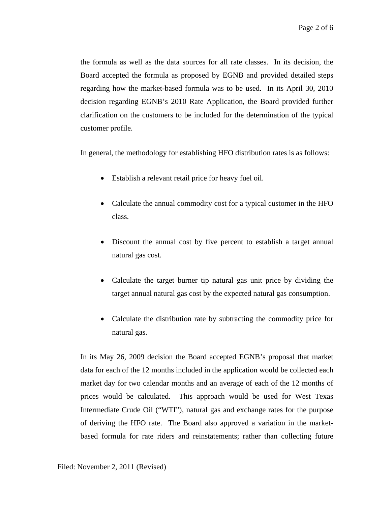the formula as well as the data sources for all rate classes. In its decision, the Board accepted the formula as proposed by EGNB and provided detailed steps regarding how the market-based formula was to be used. In its April 30, 2010 decision regarding EGNB's 2010 Rate Application, the Board provided further clarification on the customers to be included for the determination of the typical customer profile.

In general, the methodology for establishing HFO distribution rates is as follows:

- Establish a relevant retail price for heavy fuel oil.
- Calculate the annual commodity cost for a typical customer in the HFO class.
- Discount the annual cost by five percent to establish a target annual natural gas cost.
- Calculate the target burner tip natural gas unit price by dividing the target annual natural gas cost by the expected natural gas consumption.
- Calculate the distribution rate by subtracting the commodity price for natural gas.

In its May 26, 2009 decision the Board accepted EGNB's proposal that market data for each of the 12 months included in the application would be collected each market day for two calendar months and an average of each of the 12 months of prices would be calculated. This approach would be used for West Texas Intermediate Crude Oil ("WTI"), natural gas and exchange rates for the purpose of deriving the HFO rate. The Board also approved a variation in the marketbased formula for rate riders and reinstatements; rather than collecting future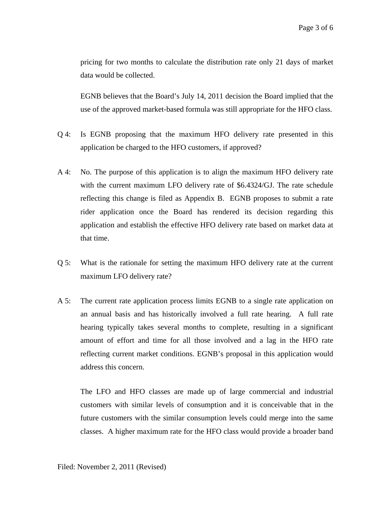pricing for two months to calculate the distribution rate only 21 days of market data would be collected.

EGNB believes that the Board's July 14, 2011 decision the Board implied that the use of the approved market-based formula was still appropriate for the HFO class.

- Q 4: Is EGNB proposing that the maximum HFO delivery rate presented in this application be charged to the HFO customers, if approved?
- A 4: No. The purpose of this application is to align the maximum HFO delivery rate with the current maximum LFO delivery rate of \$6.4324/GJ. The rate schedule reflecting this change is filed as Appendix B. EGNB proposes to submit a rate rider application once the Board has rendered its decision regarding this application and establish the effective HFO delivery rate based on market data at that time.
- Q 5: What is the rationale for setting the maximum HFO delivery rate at the current maximum LFO delivery rate?
- A 5: The current rate application process limits EGNB to a single rate application on an annual basis and has historically involved a full rate hearing. A full rate hearing typically takes several months to complete, resulting in a significant amount of effort and time for all those involved and a lag in the HFO rate reflecting current market conditions. EGNB's proposal in this application would address this concern.

The LFO and HFO classes are made up of large commercial and industrial customers with similar levels of consumption and it is conceivable that in the future customers with the similar consumption levels could merge into the same classes. A higher maximum rate for the HFO class would provide a broader band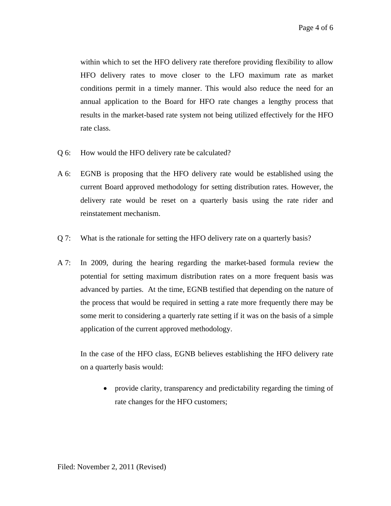within which to set the HFO delivery rate therefore providing flexibility to allow HFO delivery rates to move closer to the LFO maximum rate as market conditions permit in a timely manner. This would also reduce the need for an annual application to the Board for HFO rate changes a lengthy process that results in the market-based rate system not being utilized effectively for the HFO rate class.

- Q 6: How would the HFO delivery rate be calculated?
- A 6: EGNB is proposing that the HFO delivery rate would be established using the current Board approved methodology for setting distribution rates. However, the delivery rate would be reset on a quarterly basis using the rate rider and reinstatement mechanism.
- Q 7: What is the rationale for setting the HFO delivery rate on a quarterly basis?
- A 7: In 2009, during the hearing regarding the market-based formula review the potential for setting maximum distribution rates on a more frequent basis was advanced by parties. At the time, EGNB testified that depending on the nature of the process that would be required in setting a rate more frequently there may be some merit to considering a quarterly rate setting if it was on the basis of a simple application of the current approved methodology.

In the case of the HFO class, EGNB believes establishing the HFO delivery rate on a quarterly basis would:

• provide clarity, transparency and predictability regarding the timing of rate changes for the HFO customers;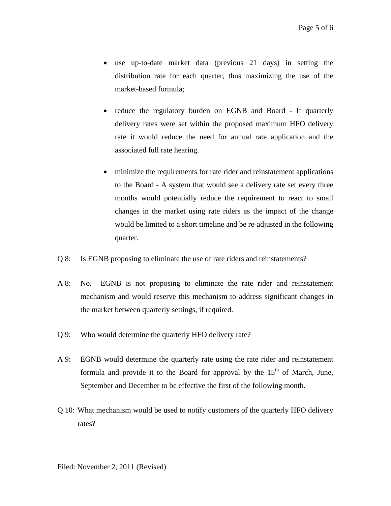- use up-to-date market data (previous 21 days) in setting the distribution rate for each quarter, thus maximizing the use of the market-based formula;
- reduce the regulatory burden on EGNB and Board If quarterly delivery rates were set within the proposed maximum HFO delivery rate it would reduce the need for annual rate application and the associated full rate hearing.
- minimize the requirements for rate rider and reinstatement applications to the Board - A system that would see a delivery rate set every three months would potentially reduce the requirement to react to small changes in the market using rate riders as the impact of the change would be limited to a short timeline and be re-adjusted in the following quarter.
- Q 8: Is EGNB proposing to eliminate the use of rate riders and reinstatements?
- A 8: No. EGNB is not proposing to eliminate the rate rider and reinstatement mechanism and would reserve this mechanism to address significant changes in the market between quarterly settings, if required.
- Q 9: Who would determine the quarterly HFO delivery rate?
- A 9: EGNB would determine the quarterly rate using the rate rider and reinstatement formula and provide it to the Board for approval by the  $15<sup>th</sup>$  of March, June, September and December to be effective the first of the following month.
- Q 10: What mechanism would be used to notify customers of the quarterly HFO delivery rates?